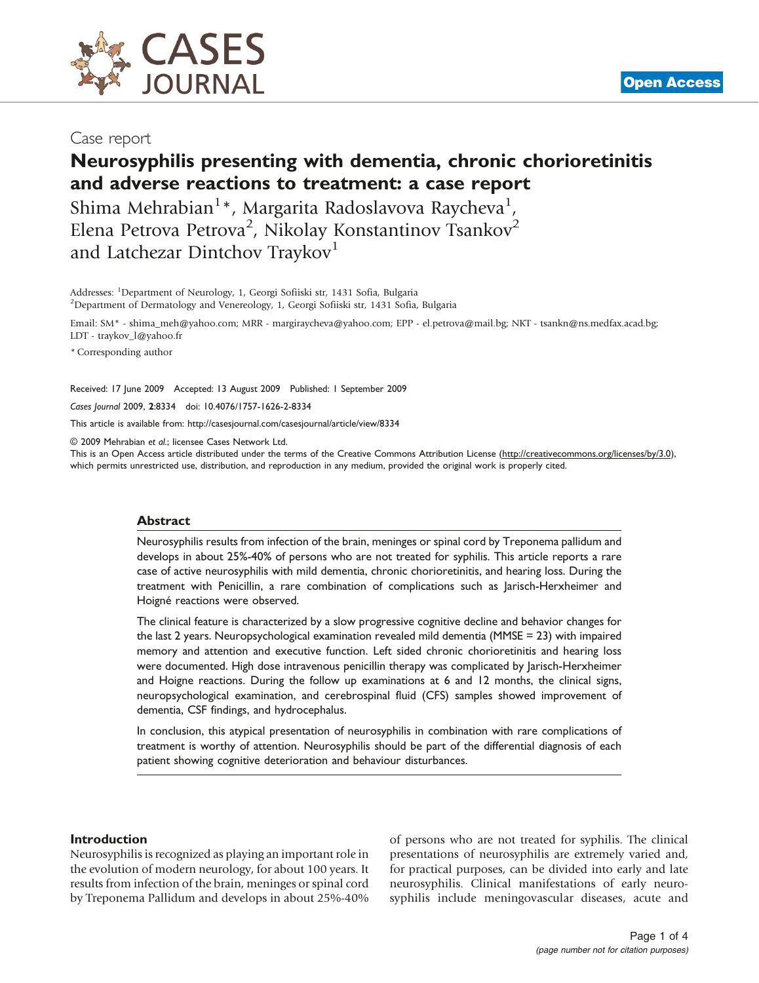

Case report

# Neurosyphilis presenting with dementia, chronic chorioretinitis and adverse reactions to treatment: a case report

Shima Mehrabian $^{1*}$ , Margarita Radoslavova Raycheva $^{1}$ , Elena Petrova Petrova<sup>2</sup>, Nikolay Konstantinov Tsankov<sup>2</sup> and Latchezar Dintchov Traykov<sup>1</sup>

Addresses: <sup>1</sup>Department of Neurology, 1, Georgi Sofiiski str, 1431 Sofia, Bulgaria<br><sup>2</sup>Department of Dermatology and Venereology, 1, Georgi Sofiiski str, 1431 Sofia <sup>2</sup>Department of Dermatology and Venereology, 1, Georgi Sofiiski str, 1431 Sofia, Bulgaria

Email: SM\* - [shima\\_meh@yahoo.com;](mailto:shima_meh@yahoo.com) MRR - [margiraycheva@yahoo.com](mailto:margiraycheva@yahoo.com); EPP - [el.petrova@mail.bg;](mailto:el.petrova@mail.bg) NKT - [tsankn@ns.medfax.acad.bg;](mailto:tsankn@ns.medfax.acad.bg) LDT - [traykov\\_l@yahoo.fr](mailto:traykov_l@yahoo.fr)

\* Corresponding author

Received: 17 June 2009 Accepted: 13 August 2009 Published: 1 September 2009

Cases Journal 2009, 2:8334 doi: 10.4076/1757-1626-2-8334

This article is available from:<http://casesjournal.com/casesjournal/article/view/8334>

© 2009 Mehrabian et al.; licensee Cases Network Ltd.

This is an Open Access article distributed under the terms of the Creative Commons Attribution License [\(http://creativecommons.org/licenses/by/3.0\)](http://creativecommons.org/licenses/by/3.0), which permits unrestricted use, distribution, and reproduction in any medium, provided the original work is properly cited.

#### Abstract

Neurosyphilis results from infection of the brain, meninges or spinal cord by Treponema pallidum and develops in about 25%-40% of persons who are not treated for syphilis. This article reports a rare case of active neurosyphilis with mild dementia, chronic chorioretinitis, and hearing loss. During the treatment with Penicillin, a rare combination of complications such as Jarisch-Herxheimer and Hoigné reactions were observed.

The clinical feature is characterized by a slow progressive cognitive decline and behavior changes for the last 2 years. Neuropsychological examination revealed mild dementia (MMSE = 23) with impaired memory and attention and executive function. Left sided chronic chorioretinitis and hearing loss were documented. High dose intravenous penicillin therapy was complicated by Jarisch-Herxheimer and Hoigne reactions. During the follow up examinations at 6 and 12 months, the clinical signs, neuropsychological examination, and cerebrospinal fluid (CFS) samples showed improvement of dementia, CSF findings, and hydrocephalus.

In conclusion, this atypical presentation of neurosyphilis in combination with rare complications of treatment is worthy of attention. Neurosyphilis should be part of the differential diagnosis of each patient showing cognitive deterioration and behaviour disturbances.

#### Introduction

Neurosyphilis is recognized as playing an important role in the evolution of modern neurology, for about 100 years. It results from infection of the brain, meninges or spinal cord by Treponema Pallidum and develops in about 25%-40% of persons who are not treated for syphilis. The clinical presentations of neurosyphilis are extremely varied and, for practical purposes, can be divided into early and late neurosyphilis. Clinical manifestations of early neurosyphilis include meningovascular diseases, acute and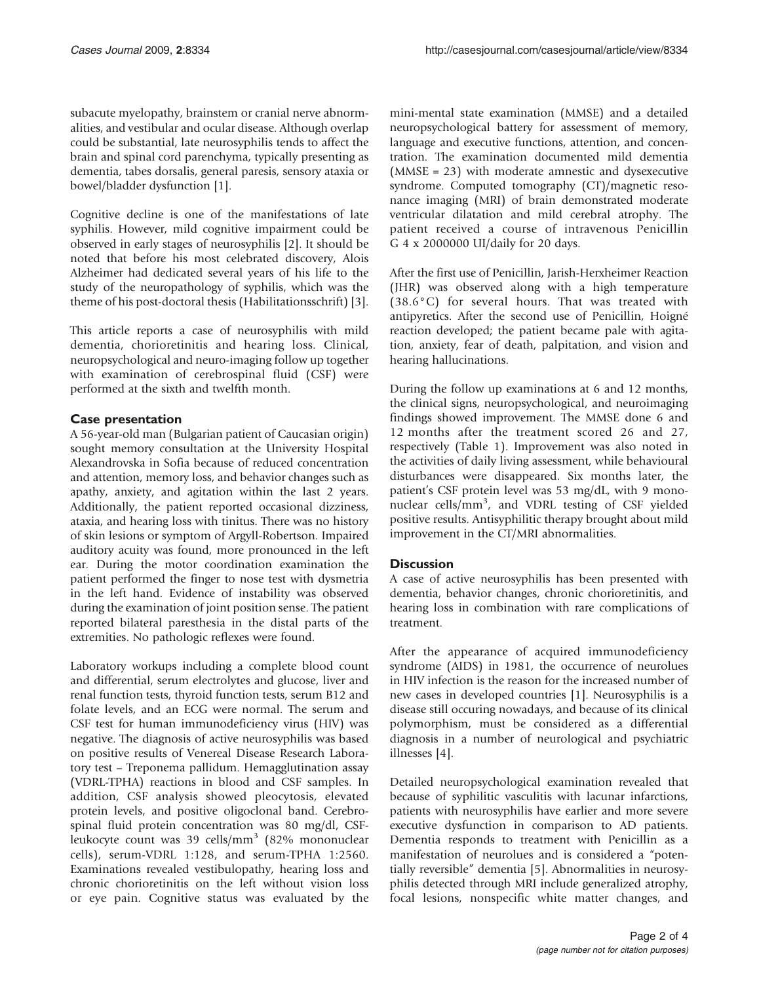subacute myelopathy, brainstem or cranial nerve abnormalities, and vestibular and ocular disease. Although overlap could be substantial, late neurosyphilis tends to affect the brain and spinal cord parenchyma, typically presenting as dementia, tabes dorsalis, general paresis, sensory ataxia or bowel/bladder dysfunction [[1](#page-2-0)].

Cognitive decline is one of the manifestations of late syphilis. However, mild cognitive impairment could be observed in early stages of neurosyphilis [[2\]](#page-2-0). It should be noted that before his most celebrated discovery, Alois Alzheimer had dedicated several years of his life to the study of the neuropathology of syphilis, which was the theme of his post-doctoral thesis (Habilitationsschrift) [[3\]](#page-2-0).

This article reports a case of neurosyphilis with mild dementia, chorioretinitis and hearing loss. Clinical, neuropsychological and neuro-imaging follow up together with examination of cerebrospinal fluid (CSF) were performed at the sixth and twelfth month.

## Case presentation

A 56-year-old man (Bulgarian patient of Caucasian origin) sought memory consultation at the University Hospital Alexandrovska in Sofia because of reduced concentration and attention, memory loss, and behavior changes such as apathy, anxiety, and agitation within the last 2 years. Additionally, the patient reported occasional dizziness, ataxia, and hearing loss with tinitus. There was no history of skin lesions or symptom of Argyll-Robertson. Impaired auditory acuity was found, more pronounced in the left ear. During the motor coordination examination the patient performed the finger to nose test with dysmetria in the left hand. Evidence of instability was observed during the examination of joint position sense. The patient reported bilateral paresthesia in the distal parts of the extremities. No pathologic reflexes were found.

Laboratory workups including a complete blood count and differential, serum electrolytes and glucose, liver and renal function tests, thyroid function tests, serum B12 and folate levels, and an ECG were normal. The serum and CSF test for human immunodeficiency virus (HIV) was negative. The diagnosis of active neurosyphilis was based on positive results of Venereal Disease Research Laboratory test – Treponema pallidum. Hemagglutination assay (VDRL-TPHA) reactions in blood and CSF samples. In addition, CSF analysis showed pleocytosis, elevated protein levels, and positive oligoclonal band. Cerebrospinal fluid protein concentration was 80 mg/dl, CSFleukocyte count was 39 cells/mm<sup>3</sup> (82% mononuclear cells), serum-VDRL 1:128, and serum-TPHA 1:2560. Examinations revealed vestibulopathy, hearing loss and chronic chorioretinitis on the left without vision loss or eye pain. Cognitive status was evaluated by the mini-mental state examination (MMSE) and a detailed neuropsychological battery for assessment of memory, language and executive functions, attention, and concentration. The examination documented mild dementia (MMSE = 23) with moderate amnestic and dysexecutive syndrome. Computed tomography (CT)/magnetic resonance imaging (MRI) of brain demonstrated moderate ventricular dilatation and mild cerebral atrophy. The patient received a course of intravenous Penicillin G 4 x 2000000 UI/daily for 20 days.

After the first use of Penicillin, Jarish-Herxheimer Reaction (JHR) was observed along with a high temperature (38.6°C) for several hours. That was treated with antipyretics. After the second use of Penicillin, Hoigné reaction developed; the patient became pale with agitation, anxiety, fear of death, palpitation, and vision and hearing hallucinations.

During the follow up examinations at 6 and 12 months, the clinical signs, neuropsychological, and neuroimaging findings showed improvement. The MMSE done 6 and 12 months after the treatment scored 26 and 27, respectively (Table 1). Improvement was also noted in the activities of daily living assessment, while behavioural disturbances were disappeared. Six months later, the patient's CSF protein level was 53 mg/dL, with 9 mononuclear cells/mm<sup>3</sup>, and VDRL testing of CSF yielded positive results. Antisyphilitic therapy brought about mild improvement in the CT/MRI abnormalities.

## **Discussion**

A case of active neurosyphilis has been presented with dementia, behavior changes, chronic chorioretinitis, and hearing loss in combination with rare complications of treatment.

After the appearance of acquired immunodeficiency syndrome (AIDS) in 1981, the occurrence of neurolues in HIV infection is the reason for the increased number of new cases in developed countries [\[1](#page-2-0)]. Neurosyphilis is a disease still occuring nowadays, and because of its clinical polymorphism, must be considered as a differential diagnosis in a number of neurological and psychiatric illnesses [\[4\]](#page-2-0).

Detailed neuropsychological examination revealed that because of syphilitic vasculitis with lacunar infarctions, patients with neurosyphilis have earlier and more severe executive dysfunction in comparison to AD patients. Dementia responds to treatment with Penicillin as a manifestation of neurolues and is considered a "potentially reversible" dementia [\[5\]](#page-2-0). Abnormalities in neurosyphilis detected through MRI include generalized atrophy, focal lesions, nonspecific white matter changes, and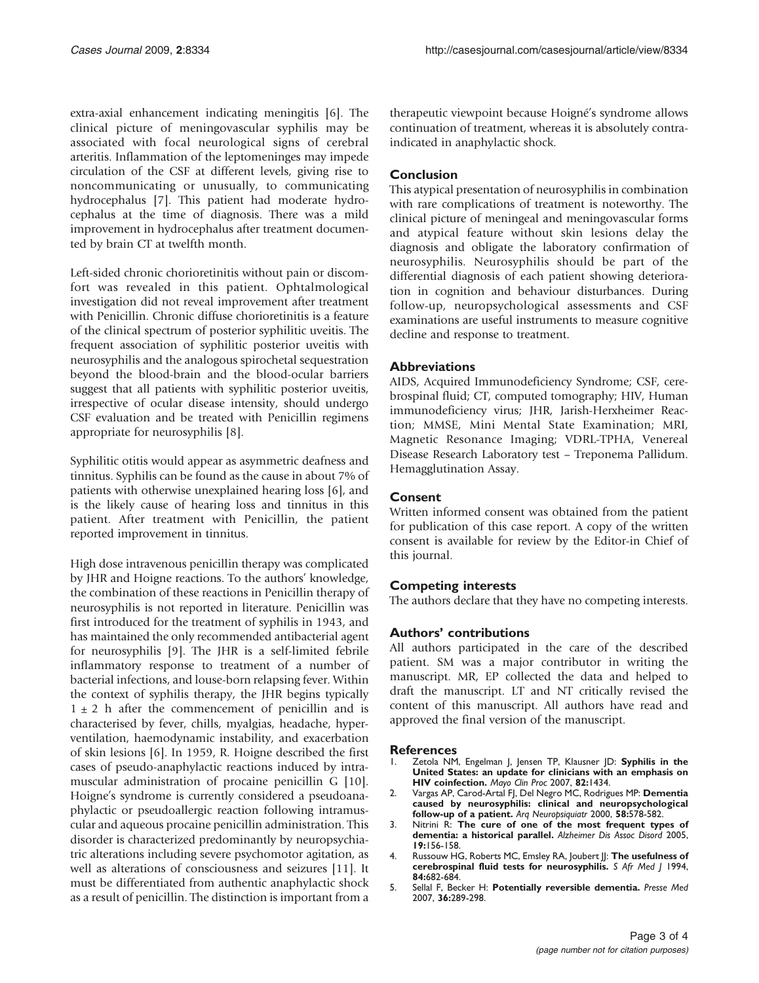<span id="page-2-0"></span>extra-axial enhancement indicating meningitis [[6](#page-3-0)]. The clinical picture of meningovascular syphilis may be associated with focal neurological signs of cerebral arteritis. Inflammation of the leptomeninges may impede circulation of the CSF at different levels, giving rise to noncommunicating or unusually, to communicating hydrocephalus [\[7\]](#page-3-0). This patient had moderate hydrocephalus at the time of diagnosis. There was a mild improvement in hydrocephalus after treatment documented by brain CT at twelfth month.

Left-sided chronic chorioretinitis without pain or discomfort was revealed in this patient. Ophtalmological investigation did not reveal improvement after treatment with Penicillin. Chronic diffuse chorioretinitis is a feature of the clinical spectrum of posterior syphilitic uveitis. The frequent association of syphilitic posterior uveitis with neurosyphilis and the analogous spirochetal sequestration beyond the blood-brain and the blood-ocular barriers suggest that all patients with syphilitic posterior uveitis, irrespective of ocular disease intensity, should undergo CSF evaluation and be treated with Penicillin regimens appropriate for neurosyphilis [[8](#page-3-0)].

Syphilitic otitis would appear as asymmetric deafness and tinnitus. Syphilis can be found as the cause in about 7% of patients with otherwise unexplained hearing loss [[6](#page-3-0)], and is the likely cause of hearing loss and tinnitus in this patient. After treatment with Penicillin, the patient reported improvement in tinnitus.

High dose intravenous penicillin therapy was complicated by JHR and Hoigne reactions. To the authors' knowledge, the combination of these reactions in Penicillin therapy of neurosyphilis is not reported in literature. Penicillin was first introduced for the treatment of syphilis in 1943, and has maintained the only recommended antibacterial agent for neurosyphilis [[9](#page-3-0)]. The JHR is a self-limited febrile inflammatory response to treatment of a number of bacterial infections, and louse-born relapsing fever. Within the context of syphilis therapy, the JHR begins typically  $1 \pm 2$  h after the commencement of penicillin and is characterised by fever, chills, myalgias, headache, hyperventilation, haemodynamic instability, and exacerbation of skin lesions [\[6](#page-3-0)]. In 1959, R. Hoigne described the first cases of pseudo-anaphylactic reactions induced by intramuscular administration of procaine penicillin G [\[10\]](#page-3-0). Hoigne's syndrome is currently considered a pseudoanaphylactic or pseudoallergic reaction following intramuscular and aqueous procaine penicillin administration. This disorder is characterized predominantly by neuropsychiatric alterations including severe psychomotor agitation, as well as alterations of consciousness and seizures [\[11\]](#page-3-0). It must be differentiated from authentic anaphylactic shock as a result of penicillin. The distinction is important from a

therapeutic viewpoint because Hoigné's syndrome allows continuation of treatment, whereas it is absolutely contraindicated in anaphylactic shock.

## Conclusion

This atypical presentation of neurosyphilis in combination with rare complications of treatment is noteworthy. The clinical picture of meningeal and meningovascular forms and atypical feature without skin lesions delay the diagnosis and obligate the laboratory confirmation of neurosyphilis. Neurosyphilis should be part of the differential diagnosis of each patient showing deterioration in cognition and behaviour disturbances. During follow-up, neuropsychological assessments and CSF examinations are useful instruments to measure cognitive decline and response to treatment.

#### **Abbreviations**

AIDS, Acquired Immunodeficiency Syndrome; CSF, cerebrospinal fluid; CT, computed tomography; HIV, Human immunodeficiency virus; JHR, Jarish-Herxheimer Reaction; MMSE, Mini Mental State Examination; MRI, Magnetic Resonance Imaging; VDRL-TPHA, Venereal Disease Research Laboratory test – Treponema Pallidum. Hemagglutination Assay.

## Consent

Written informed consent was obtained from the patient for publication of this case report. A copy of the written consent is available for review by the Editor-in Chief of this journal.

## Competing interests

The authors declare that they have no competing interests.

## Authors' contributions

All authors participated in the care of the described patient. SM was a major contributor in writing the manuscript. MR, EP collected the data and helped to draft the manuscript. LT and NT critically revised the content of this manuscript. All authors have read and approved the final version of the manuscript.

#### **References**

- 1. Zetola NM, Engelman J, Jensen TP, Klausner JD: Syphilis in the United States: an update for clinicians with an emphasis on HIV coinfection. Mayo Clin Proc 2007, 82:1434.
- 2. Vargas AP, Carod-Artal FJ, Del Negro MC, Rodrigues MP: Dementia caused by neurosyphilis: clinical and neuropsychological follow-up of a patient. Arq Neuropsiquiatr 2000, 58:578-582.
- 3. Nitrini R: The cure of one of the most frequent types of dementia: a historical parallel. Alzheimer Dis Assoc Disord 2005, 19:156-158.
- 4. Russouw HG, Roberts MC, Emsley RA, Joubert JJ: The usefulness of cerebrospinal fluid tests for neurosyphilis. S Afr Med J 1994, 84:682-684.
- 5. Sellal F, Becker H: Potentially reversible dementia. Presse Med 2007, 36:289-298.